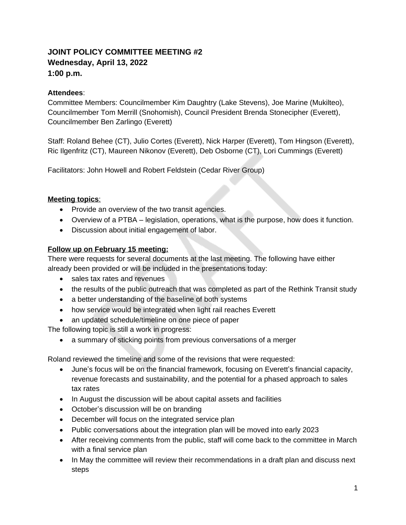# **JOINT POLICY COMMITTEE MEETING #2 Wednesday, April 13, 2022 1:00 p.m.**

### **Attendees**:

Committee Members: Councilmember Kim Daughtry (Lake Stevens), Joe Marine (Mukilteo), Councilmember Tom Merrill (Snohomish), Council President Brenda Stonecipher (Everett), Councilmember Ben Zarlingo (Everett)

Staff: Roland Behee (CT), Julio Cortes (Everett), Nick Harper (Everett), Tom Hingson (Everett), Ric Ilgenfritz (CT), Maureen Nikonov (Everett), Deb Osborne (CT), Lori Cummings (Everett)

Facilitators: John Howell and Robert Feldstein (Cedar River Group)

#### **Meeting topics**:

- Provide an overview of the two transit agencies.
- Overview of a PTBA legislation, operations, what is the purpose, how does it function.
- Discussion about initial engagement of labor.

#### **Follow up on February 15 meeting:**

There were requests for several documents at the last meeting. The following have either already been provided or will be included in the presentations today:

- sales tax rates and revenues
- the results of the public outreach that was completed as part of the Rethink Transit study
- a better understanding of the baseline of both systems
- how service would be integrated when light rail reaches Everett
- an updated schedule/timeline on one piece of paper

The following topic is still a work in progress:

a summary of sticking points from previous conversations of a merger

Roland reviewed the timeline and some of the revisions that were requested:

- June's focus will be on the financial framework, focusing on Everett's financial capacity, revenue forecasts and sustainability, and the potential for a phased approach to sales tax rates
- In August the discussion will be about capital assets and facilities
- October's discussion will be on branding
- December will focus on the integrated service plan
- Public conversations about the integration plan will be moved into early 2023
- After receiving comments from the public, staff will come back to the committee in March with a final service plan
- In May the committee will review their recommendations in a draft plan and discuss next steps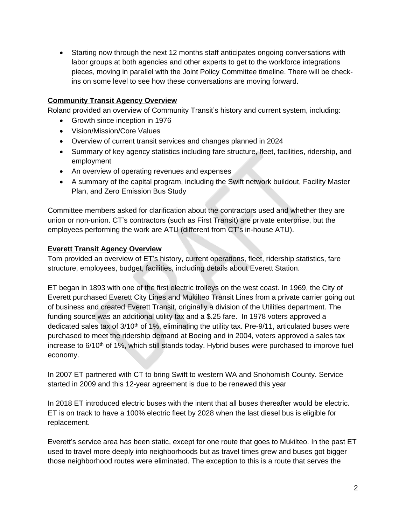Starting now through the next 12 months staff anticipates ongoing conversations with labor groups at both agencies and other experts to get to the workforce integrations pieces, moving in parallel with the Joint Policy Committee timeline. There will be checkins on some level to see how these conversations are moving forward.

## **Community Transit Agency Overview**

Roland provided an overview of Community Transit's history and current system, including:

- Growth since inception in 1976
- Vision/Mission/Core Values
- Overview of current transit services and changes planned in 2024
- Summary of key agency statistics including fare structure, fleet, facilities, ridership, and employment
- An overview of operating revenues and expenses
- A summary of the capital program, including the Swift network buildout, Facility Master Plan, and Zero Emission Bus Study

Committee members asked for clarification about the contractors used and whether they are union or non-union. CT's contractors (such as First Transit) are private enterprise, but the employees performing the work are ATU (different from CT's in-house ATU).

### **Everett Transit Agency Overview**

Tom provided an overview of ET's history, current operations, fleet, ridership statistics, fare structure, employees, budget, facilities, including details about Everett Station.

ET began in 1893 with one of the first electric trolleys on the west coast. In 1969, the City of Everett purchased Everett City Lines and Mukilteo Transit Lines from a private carrier going out of business and created Everett Transit, originally a division of the Utilities department. The funding source was an additional utility tax and a \$.25 fare. In 1978 voters approved a dedicated sales tax of  $3/10<sup>th</sup>$  of 1%, eliminating the utility tax. Pre-9/11, articulated buses were purchased to meet the ridership demand at Boeing and in 2004, voters approved a sales tax increase to 6/10<sup>th</sup> of 1%, which still stands today. Hybrid buses were purchased to improve fuel economy.

In 2007 ET partnered with CT to bring Swift to western WA and Snohomish County. Service started in 2009 and this 12-year agreement is due to be renewed this year

In 2018 ET introduced electric buses with the intent that all buses thereafter would be electric. ET is on track to have a 100% electric fleet by 2028 when the last diesel bus is eligible for replacement.

Everett's service area has been static, except for one route that goes to Mukilteo. In the past ET used to travel more deeply into neighborhoods but as travel times grew and buses got bigger those neighborhood routes were eliminated. The exception to this is a route that serves the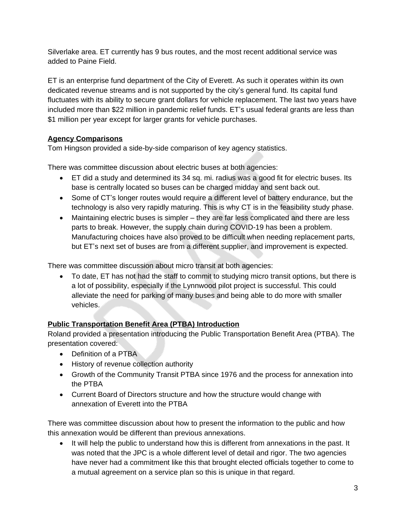Silverlake area. ET currently has 9 bus routes, and the most recent additional service was added to Paine Field.

ET is an enterprise fund department of the City of Everett. As such it operates within its own dedicated revenue streams and is not supported by the city's general fund. Its capital fund fluctuates with its ability to secure grant dollars for vehicle replacement. The last two years have included more than \$22 million in pandemic relief funds. ET's usual federal grants are less than \$1 million per year except for larger grants for vehicle purchases.

## **Agency Comparisons**

Tom Hingson provided a side-by-side comparison of key agency statistics.

There was committee discussion about electric buses at both agencies:

- ET did a study and determined its 34 sq. mi. radius was a good fit for electric buses. Its base is centrally located so buses can be charged midday and sent back out.
- Some of CT's longer routes would require a different level of battery endurance, but the technology is also very rapidly maturing. This is why CT is in the feasibility study phase.
- Maintaining electric buses is simpler they are far less complicated and there are less parts to break. However, the supply chain during COVID-19 has been a problem. Manufacturing choices have also proved to be difficult when needing replacement parts, but ET's next set of buses are from a different supplier, and improvement is expected.

There was committee discussion about micro transit at both agencies:

 To date, ET has not had the staff to commit to studying micro transit options, but there is a lot of possibility, especially if the Lynnwood pilot project is successful. This could alleviate the need for parking of many buses and being able to do more with smaller vehicles.

### **Public Transportation Benefit Area (PTBA) Introduction**

Roland provided a presentation introducing the Public Transportation Benefit Area (PTBA). The presentation covered:

- Definition of a PTBA
- History of revenue collection authority
- Growth of the Community Transit PTBA since 1976 and the process for annexation into the PTBA
- Current Board of Directors structure and how the structure would change with annexation of Everett into the PTBA

There was committee discussion about how to present the information to the public and how this annexation would be different than previous annexations.

• It will help the public to understand how this is different from annexations in the past. It was noted that the JPC is a whole different level of detail and rigor. The two agencies have never had a commitment like this that brought elected officials together to come to a mutual agreement on a service plan so this is unique in that regard.